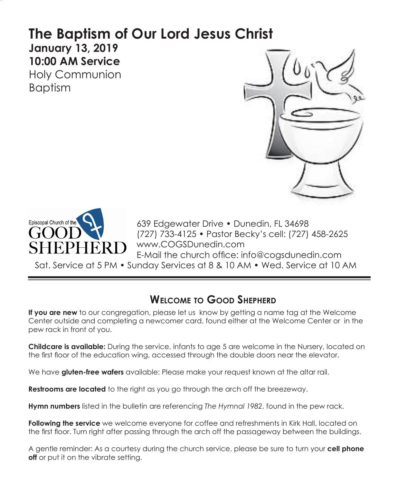# **The Baptism of Our Lord Jesus Christ January 13, 2019 10:00 AM Service**  Holy Communion

Baptism





639 Edgewater Drive • Dunedin, FL 34698 (727) 733-4125 • Pastor Becky's cell: (727) 458-2625 www.COGSDunedin.com E-Mail the church office: info@cogsdunedin.com

Sat. Service at 5 PM • Sunday Services at 8 & 10 AM • Wed. Service at 10 AM

# **Welcome to Good Shepherd**

**If you are new** to our congregation, please let us know by getting a name tag at the Welcome Center outside and completing a newcomer card, found either at the Welcome Center or in the pew rack in front of you.

**Childcare is available:** During the service, infants to age 5 are welcome in the Nursery, located on the first floor of the education wing, accessed through the double doors near the elevator.

We have **gluten-free wafers** available: Please make your request known at the altar rail.

**Restrooms are located** to the right as you go through the arch off the breezeway.

**Hymn numbers** listed in the bulletin are referencing *The Hymnal 1982*, found in the pew rack.

**Following the service** we welcome everyone for coffee and refreshments in Kirk Hall, located on the first floor. Turn right after passing through the arch off the passageway between the buildings.

A gentle reminder: As a courtesy during the church service, please be sure to turn your **cell phone off** or put it on the vibrate setting.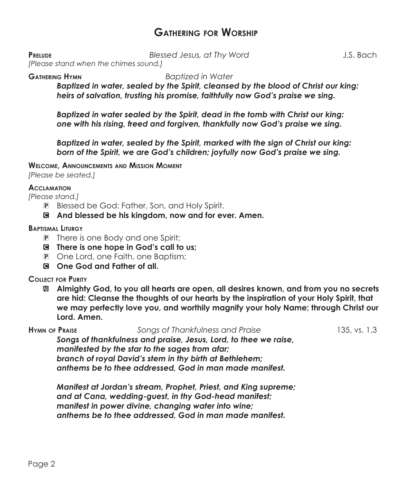## **Gathering for Worship**

**Prelude** *Blessed Jesus, at Thy Word* J.S. Bach

*[Please stand when the chimes sound.]*

**Gathering Hymn** *Baptized in Water*

*Baptized in water, sealed by the Spirit, cleansed by the blood of Christ our king: heirs of salvation, trusting his promise, faithfully now God's praise we sing.*

*Baptized in water sealed by the Spirit, dead in the tomb with Christ our king: one with his rising, freed and forgiven, thankfully now God's praise we sing.*

*Baptized in water, sealed by the Spirit, marked with the sign of Christ our king: born of the Spirit, we are God's children; joyfully now God's praise we sing.*

## **Welcome, Announcements and Mission Moment**

*[Please be seated.]*

### **Acclamation**

*[Please stand.]*

- P Blessed be God: Father, Son, and Holy Spirit.
- C **And blessed be his kingdom, now and for ever. Amen.**

## **Baptismal Liturgy**

- P There is one Body and one Spirit;
- C **There is one hope in God's call to us;**
- P One Lord, one Faith, one Baptism;
- C **One God and Father of all.**

## **Collect for Purity**

a **Almighty God, to you all hearts are open, all desires known, and from you no secrets are hid: Cleanse the thoughts of our hearts by the inspiration of your Holy Spirit, that we may perfectly love you, and worthily magnify your holy Name; through Christ our Lord. Amen.**

**Hymn of Praise** *Songs of Thankfulness and Praise* 135, vs. 1,3

*Songs of thankfulness and praise, Jesus, Lord, to thee we raise, manifested by the star to the sages from afar; branch of royal David's stem in thy birth at Bethlehem; anthems be to thee addressed, God in man made manifest.*

*Manifest at Jordan's stream, Prophet, Priest, and King supreme; and at Cana, wedding-guest, in thy God-head manifest; manifest in power divine, changing water into wine; anthems be to thee addressed, God in man made manifest.*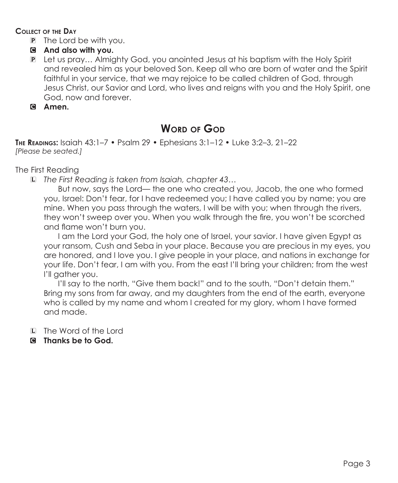## **Collect of the Day**

- P The Lord be with you.
- C **And also with you.**
- P Let us pray… Almighty God, you anointed Jesus at his baptism with the Holy Spirit and revealed him as your beloved Son. Keep all who are born of water and the Spirit faithful in your service, that we may rejoice to be called children of God, through Jesus Christ, our Savior and Lord, who lives and reigns with you and the Holy Spirit, one God, now and forever.
- C **Amen.**

# **Word of God**

**The Readings:** Isaiah 43:1–7 • Psalm 29 • Ephesians 3:1–12 • Luke 3:2–3, 21–22 *[Please be seated.]*

## The First Reading

L *The First Reading is taken from Isaiah, chapter 43…*

 But now, says the Lord— the one who created you, Jacob, the one who formed you, Israel: Don't fear, for I have redeemed you; I have called you by name; you are mine. When you pass through the waters, I will be with you; when through the rivers, they won't sweep over you. When you walk through the fire, you won't be scorched and flame won't burn you.

 I am the Lord your God, the holy one of Israel, your savior. I have given Egypt as your ransom, Cush and Seba in your place. Because you are precious in my eyes, you are honored, and I love you. I give people in your place, and nations in exchange for your life. Don't fear, I am with you. From the east I'll bring your children; from the west I'll gather you.

 I'll say to the north, "Give them back!" and to the south, "Don't detain them." Bring my sons from far away, and my daughters from the end of the earth, everyone who is called by my name and whom I created for my glory, whom I have formed and made.

L The Word of the Lord

C **Thanks be to God.**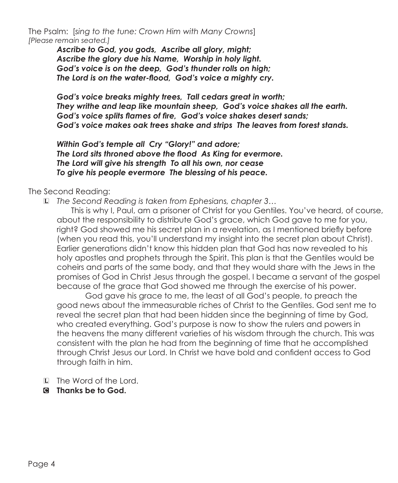The Psalm: [*sing to the tune: Crown Him with Many Crowns*] *[Please remain seated.]*

> *Ascribe to God, you gods, Ascribe all glory, might; Ascribe the glory due his Name, Worship in holy light. God's voice is on the deep, God's thunder rolls on high; The Lord is on the water-flood, God's voice a mighty cry.*

*God's voice breaks mighty trees, Tall cedars great in worth; They writhe and leap like mountain sheep, God's voice shakes all the earth. God's voice splits flames of fire, God's voice shakes desert sands; God's voice makes oak trees shake and strips The leaves from forest stands.*

*Within God's temple all Cry "Glory!" and adore; The Lord sits throned above the flood As King for evermore. The Lord will give his strength To all his own, nor cease To give his people evermore The blessing of his peace.*

The Second Reading:

L *The Second Reading is taken from Ephesians, chapter 3…*

This is why I, Paul, am a prisoner of Christ for you Gentiles. You've heard, of course, about the responsibility to distribute God's grace, which God gave to me for you, right? God showed me his secret plan in a revelation, as I mentioned briefly before (when you read this, you'll understand my insight into the secret plan about Christ). Earlier generations didn't know this hidden plan that God has now revealed to his holy apostles and prophets through the Spirit. This plan is that the Gentiles would be coheirs and parts of the same body, and that they would share with the Jews in the promises of God in Christ Jesus through the gospel. I became a servant of the gospel because of the grace that God showed me through the exercise of his power.

 God gave his grace to me, the least of all God's people, to preach the good news about the immeasurable riches of Christ to the Gentiles. God sent me to reveal the secret plan that had been hidden since the beginning of time by God, who created everything. God's purpose is now to show the rulers and powers in the heavens the many different varieties of his wisdom through the church. This was consistent with the plan he had from the beginning of time that he accomplished through Christ Jesus our Lord. In Christ we have bold and confident access to God through faith in him.

- L The Word of the Lord.
- C **Thanks be to God.**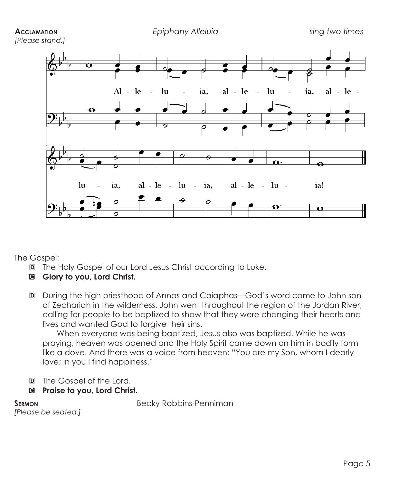

The Gospel:

- D The Holy Gospel of our Lord Jesus Christ according to Luke.
- C **Glory to you, Lord Christ.**
- D During the high priesthood of Annas and Caiaphas—God's word came to John son of Zechariah in the wilderness. John went throughout the region of the Jordan River, calling for people to be baptized to show that they were changing their hearts and lives and wanted God to forgive their sins.

 When everyone was being baptized, Jesus also was baptized. While he was praying, heaven was opened and the Holy Spirit came down on him in bodily form like a dove. And there was a voice from heaven: "You are my Son, whom I dearly love; in you I find happiness."

- D The Gospel of the Lord.
- C **Praise to you, Lord Christ.**

*[Please be seated.]*

**SERMON** Becky Robbins-Penniman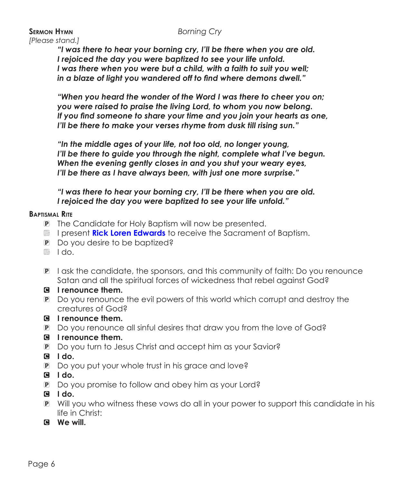**Sermon Hymn** *Borning Cry [Please stand.]*

*"I was there to hear your borning cry, I'll be there when you are old. I rejoiced the day you were baptized to see your life unfold. I was there when you were but a child, with a faith to suit you well; in a blaze of light you wandered off to find where demons dwell."*

*"When you heard the wonder of the Word I was there to cheer you on; you were raised to praise the living Lord, to whom you now belong. If you find someone to share your time and you join your hearts as one, I'll be there to make your verses rhyme from dusk till rising sun."*

*"In the middle ages of your life, not too old, no longer young, I'll be there to guide you through the night, complete what I've begun. When the evening gently closes in and you shut your weary eyes, I'll be there as I have always been, with just one more surprise."*

*"I was there to hear your borning cry, I'll be there when you are old. I rejoiced the day you were baptized to see your life unfold."*

## **Baptismal Rite**

- P The Candidate for Holy Baptism will now be presented.
- **R** I present **Rick Loren Edwards** to receive the Sacrament of Baptism.
- P Do you desire to be baptized?
- R I do.
- P I ask the candidate, the sponsors, and this community of faith: Do you renounce Satan and all the spiritual forces of wickedness that rebel against God?
- C **I renounce them.**
- P Do you renounce the evil powers of this world which corrupt and destroy the creatures of God?
- C **I renounce them.**
- P Do you renounce all sinful desires that draw you from the love of God?
- C **I renounce them.**
- P Do you turn to Jesus Christ and accept him as your Savior?
- C **I do.**
- P Do you put your whole trust in his grace and love?
- C **I do.**
- P Do you promise to follow and obey him as your Lord?
- C **I do.**
- P Will you who witness these vows do all in your power to support this candidate in his life in Christ:
- C **We will.**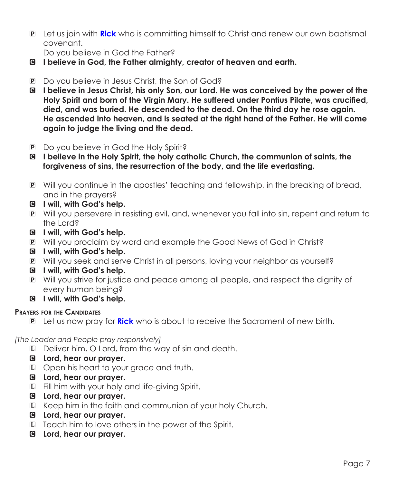P Let us join with **Rick** who is committing himself to Christ and renew our own baptismal covenant.

Do you believe in God the Father?

- C **I believe in God, the Father almighty, creator of heaven and earth.**
- P Do you believe in Jesus Christ, the Son of God?
- C **I believe in Jesus Christ, his only Son, our Lord. He was conceived by the power of the Holy Spirit and born of the Virgin Mary. He suffered under Pontius Pilate, was crucified, died, and was buried. He descended to the dead. On the third day he rose again. He ascended into heaven, and is seated at the right hand of the Father. He will come again to judge the living and the dead.**
- **P** Do you believe in God the Holy Spirit?
- C **I believe in the Holy Spirit, the holy catholic Church, the communion of saints, the forgiveness of sins, the resurrection of the body, and the life everlasting.**
- P Will you continue in the apostles' teaching and fellowship, in the breaking of bread, and in the prayers?
- C **I will, with God's help.**
- P Will you persevere in resisting evil, and, whenever you fall into sin, repent and return to the Lord?
- C **I will, with God's help.**
- P Will you proclaim by word and example the Good News of God in Christ?
- C **I will, with God's help.**
- P Will you seek and serve Christ in all persons, loving your neighbor as yourself?
- C **I will, with God's help.**
- P Will you strive for justice and peace among all people, and respect the dignity of every human being?
- C **I will, with God's help.**

## **Prayers for the Candidates**

P Let us now pray for **Rick** who is about to receive the Sacrament of new birth.

*[The Leader and People pray responsively]*

- L Deliver him, O Lord, from the way of sin and death.
- C **Lord, hear our prayer.**
- L Open his heart to your grace and truth.
- C **Lord, hear our prayer.**
- L Fill him with your holy and life-giving Spirit.
- C **Lord, hear our prayer.**
- L Keep him in the faith and communion of your holy Church.
- C **Lord, hear our prayer.**
- L Teach him to love others in the power of the Spirit.
- C **Lord, hear our prayer.**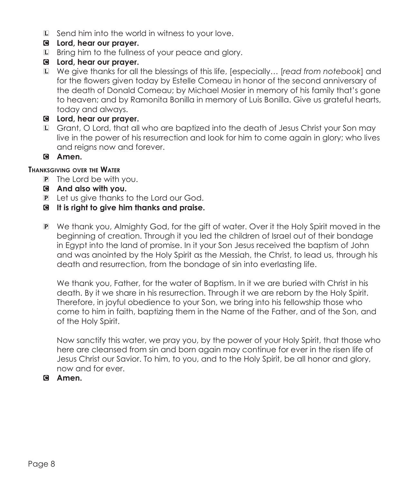- L Send him into the world in witness to your love.
- C **Lord, hear our prayer.**
- L Bring him to the fullness of your peace and glory.
- C **Lord, hear our prayer.**
- L We give thanks for all the blessings of this life, [especially… [*read from notebook*] and for the flowers given today by Estelle Comeau in honor of the second anniversary of the death of Donald Comeau; by Michael Mosier in memory of his family that's gone to heaven; and by Ramonita Bonilla in memory of Luis Bonilla. Give us grateful hearts, today and always.
- C **Lord, hear our prayer.**
- L Grant, O Lord, that all who are baptized into the death of Jesus Christ your Son may live in the power of his resurrection and look for him to come again in glory; who lives and reigns now and forever.
- C **Amen.**

## **Thanksgiving over the Water**

- P The Lord be with you.
- C **And also with you.**
- P Let us give thanks to the Lord our God.
- C **It is right to give him thanks and praise.**
- P We thank you, Almighty God, for the gift of water. Over it the Holy Spirit moved in the beginning of creation. Through it you led the children of Israel out of their bondage in Egypt into the land of promise. In it your Son Jesus received the baptism of John and was anointed by the Holy Spirit as the Messiah, the Christ, to lead us, through his death and resurrection, from the bondage of sin into everlasting life.

 We thank you, Father, for the water of Baptism. In it we are buried with Christ in his death. By it we share in his resurrection. Through it we are reborn by the Holy Spirit. Therefore, in joyful obedience to your Son, we bring into his fellowship those who come to him in faith, baptizing them in the Name of the Father, and of the Son, and of the Holy Spirit.

 Now sanctify this water, we pray you, by the power of your Holy Spirit, that those who here are cleansed from sin and born again may continue for ever in the risen life of Jesus Christ our Savior. To him, to you, and to the Holy Spirit, be all honor and glory, now and for ever.

## C **Amen.**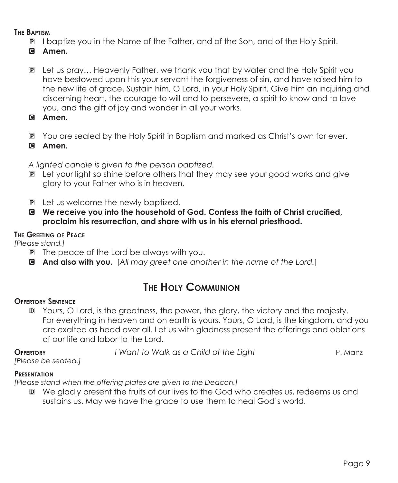## **The Baptism**

- P I baptize you in the Name of the Father, and of the Son, and of the Holy Spirit.
- C **Amen.**
- P Let us pray… Heavenly Father, we thank you that by water and the Holy Spirit you have bestowed upon this your servant the forgiveness of sin, and have raised him to the new life of grace. Sustain him, O Lord, in your Holy Spirit. Give him an inquiring and discerning heart, the courage to will and to persevere, a spirit to know and to love you, and the gift of joy and wonder in all your works.
- C **Amen.**
- P You are sealed by the Holy Spirit in Baptism and marked as Christ's own for ever.
- C **Amen.**

*A lighted candle is given to the person baptized.*

- P Let your light so shine before others that they may see your good works and give glory to your Father who is in heaven.
- **P** Let us welcome the newly baptized.
- C **We receive you into the household of God. Confess the faith of Christ crucified, proclaim his resurrection, and share with us in his eternal priesthood.**

## **The Greeting of Peace**

*[Please stand.]*

- P The peace of the Lord be always with you.
- C **And also with you.** [*All may greet one another in the name of the Lord.*]

## **The Holy Communion**

## **Offertory Sentence**

D Yours, O Lord, is the greatness, the power, the glory, the victory and the majesty. For everything in heaven and on earth is yours. Yours, O Lord, is the kingdom, and you are exalted as head over all. Let us with gladness present the offerings and oblations of our life and labor to the Lord.

**Offertory** *I Want to Walk as a Child of the Light* P. Manz

*[Please be seated.]* 

## **Presentation**

*[Please stand when the offering plates are given to the Deacon.]*

D We gladly present the fruits of our lives to the God who creates us, redeems us and sustains us. May we have the grace to use them to heal God's world.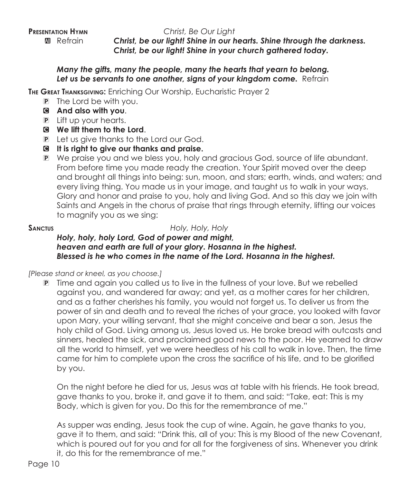**Presentation Hymn** *Christ, Be Our Light*

a Refrain *Christ, be our light! Shine in our hearts. Shine through the darkness. Christ, be our light! Shine in your church gathered today.*

## *Many the gifts, many the people, many the hearts that yearn to belong. Let us be servants to one another, signs of your kingdom come.* Refrain

**The Great Thanksgiving:** Enriching Our Worship, Eucharistic Prayer 2

- P The Lord be with you.
- C **And also with you**.
- P Lift up your hearts.
- C **We lift them to the Lord**.
- P Let us give thanks to the Lord our God.
- C **It is right to give our thanks and praise.**
- P We praise you and we bless you, holy and gracious God, source of life abundant. From before time you made ready the creation. Your Spirit moved over the deep and brought all things into being: sun, moon, and stars; earth, winds, and waters; and every living thing. You made us in your image, and taught us to walk in your ways. Glory and honor and praise to you, holy and living God. And so this day we join with Saints and Angels in the chorus of praise that rings through eternity, lifting our voices to magnify you as we sing:

**Sanctus** *Holy, Holy, Holy*

## *Holy, holy, holy Lord, God of power and might, heaven and earth are full of your glory. Hosanna in the highest. Blessed is he who comes in the name of the Lord. Hosanna in the highest.*

## *[Please stand or kneel, as you choose.]*

P Time and again you called us to live in the fullness of your love. But we rebelled against you, and wandered far away; and yet, as a mother cares for her children, and as a father cherishes his family, you would not forget us. To deliver us from the power of sin and death and to reveal the riches of your grace, you looked with favor upon Mary, your willing servant, that she might conceive and bear a son, Jesus the holy child of God. Living among us, Jesus loved us. He broke bread with outcasts and sinners, healed the sick, and proclaimed good news to the poor. He yearned to draw all the world to himself, yet we were heedless of his call to walk in love. Then, the time came for him to complete upon the cross the sacrifice of his life, and to be glorified by you.

 On the night before he died for us, Jesus was at table with his friends. He took bread, gave thanks to you, broke it, and gave it to them, and said: "Take, eat: This is my Body, which is given for you. Do this for the remembrance of me."

 As supper was ending, Jesus took the cup of wine. Again, he gave thanks to you, gave it to them, and said: "Drink this, all of you: This is my Blood of the new Covenant, which is poured out for you and for all for the forgiveness of sins. Whenever you drink it, do this for the remembrance of me."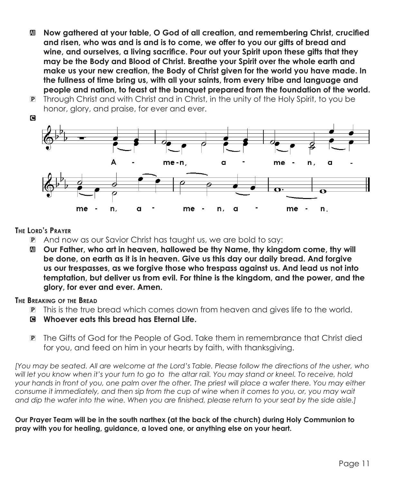- a **Now gathered at your table, O God of all creation, and remembering Christ, crucified and risen, who was and is and is to come, we offer to you our gifts of bread and wine, and ourselves, a living sacrifice. Pour out your Spirit upon these gifts that they may be the Body and Blood of Christ. Breathe your Spirit over the whole earth and make us your new creation, the Body of Christ given for the world you have made. In the fullness of time bring us, with all your saints, from every tribe and language and people and nation, to feast at the banquet prepared from the foundation of the world.**
- P Through Christ and with Christ and in Christ, in the unity of the Holy Spirit, to you be honor, glory, and praise, for ever and ever.



## **The Lord's Prayer**

- P And now as our Savior Christ has taught us, we are bold to say:
- a **Our Father, who art in heaven, hallowed be thy Name, thy kingdom come, thy will be done, on earth as it is in heaven. Give us this day our daily bread. And forgive us our trespasses, as we forgive those who trespass against us. And lead us not into temptation, but deliver us from evil. For thine is the kingdom, and the power, and the glory, for ever and ever. Amen.**

## **The Breaking of the Bread**

- P This is the true bread which comes down from heaven and gives life to the world.
- C **Whoever eats this bread has Eternal Life.**
- P The Gifts of God for the People of God. Take them in remembrance that Christ died for you, and feed on him in your hearts by faith, with thanksgiving.

*[You may be seated. All are welcome at the Lord's Table. Please follow the directions of the usher, who will let you know when it's your turn to go to the altar rail. You may stand or kneel. To receive, hold*  your hands in front of you, one palm over the other. The priest will place a wafer there. You may either *consume it immediately, and then sip from the cup of wine when it comes to you, or, you may wait and dip the wafer into the wine. When you are finished, please return to your seat by the side aisle.]*

**Our Prayer Team will be in the south narthex (at the back of the church) during Holy Communion to pray with you for healing, guidance, a loved one, or anything else on your heart.**